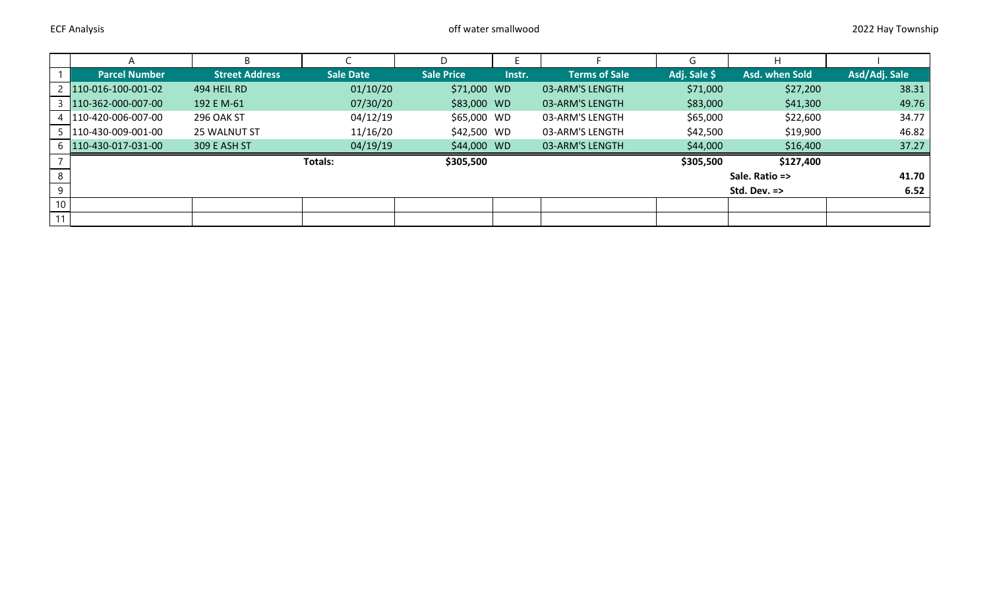|                 |                        | B.                    |                  |                   |        |                      | G            | н                       |               |
|-----------------|------------------------|-----------------------|------------------|-------------------|--------|----------------------|--------------|-------------------------|---------------|
|                 | <b>Parcel Number</b>   | <b>Street Address</b> | <b>Sale Date</b> | <b>Sale Price</b> | Instr. | <b>Terms of Sale</b> | Adj. Sale \$ | Asd. when Sold          | Asd/Adj. Sale |
|                 | 2 110-016-100-001-02   | 494 HEIL RD           | 01/10/20         | \$71,000 WD       |        | 03-ARM'S LENGTH      | \$71,000     | \$27,200                | 38.31         |
|                 | 110-362-000-007-00     | 192 E M-61            | 07/30/20         | \$83,000 WD       |        | 03-ARM'S LENGTH      | \$83,000     | \$41,300                | 49.76         |
|                 | 4 110-420-006-007-00   | <b>296 OAK ST</b>     | 04/12/19         | \$65,000 WD       |        | 03-ARM'S LENGTH      | \$65,000     | \$22,600                | 34.77         |
|                 | 5   110-430-009-001-00 | 25 WALNUT ST          | 11/16/20         | \$42,500 WD       |        | 03-ARM'S LENGTH      | \$42,500     | \$19,900                | 46.82         |
|                 | 6 110-430-017-031-00   | 309 E ASH ST          | 04/19/19         | \$44,000 WD       |        | 03-ARM'S LENGTH      | \$44,000     | \$16,400                | 37.27         |
|                 |                        |                       | Totals:          | \$305,500         |        |                      | \$305,500    | \$127,400               |               |
| 8               |                        |                       |                  |                   |        |                      |              | Sale. Ratio =>          | 41.70         |
| 9               |                        |                       |                  |                   |        |                      |              | Std. Dev. $\Rightarrow$ | 6.52          |
| 10 <sup>1</sup> |                        |                       |                  |                   |        |                      |              |                         |               |
| 11              |                        |                       |                  |                   |        |                      |              |                         |               |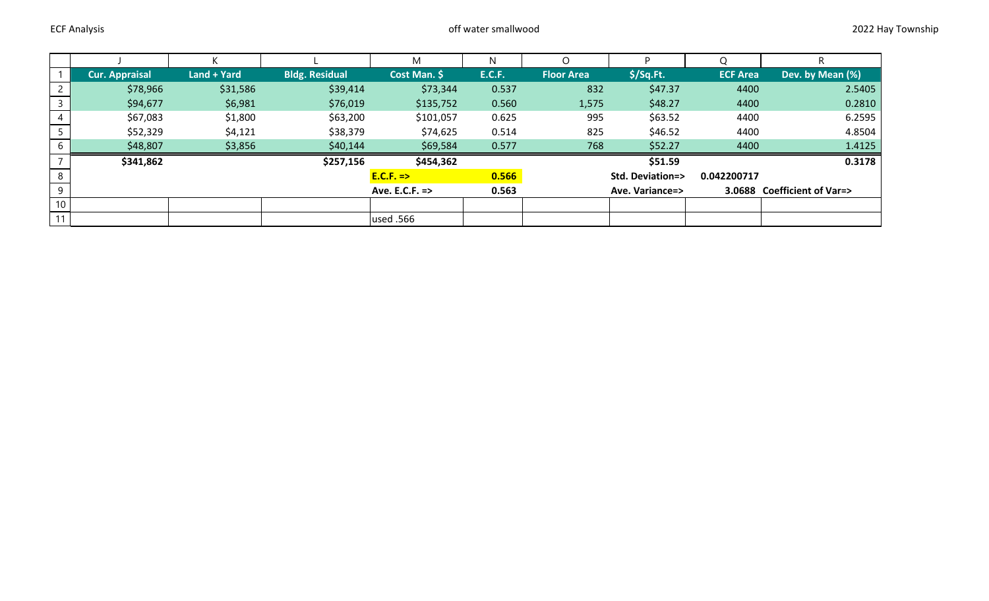|                 |                       |             |                           | M            | N                          |                   |             |                             |                  |
|-----------------|-----------------------|-------------|---------------------------|--------------|----------------------------|-------------------|-------------|-----------------------------|------------------|
|                 | <b>Cur. Appraisal</b> | Land + Yard | <b>Bldg. Residual</b>     | Cost Man. \$ | <b>E.C.F.</b>              | <b>Floor Area</b> | $$$ /Sq.Ft. | <b>ECF Area</b>             | Dev. by Mean (%) |
|                 | \$78,966              | \$31,586    | \$39,414                  | \$73,344     | 0.537                      | 832               | \$47.37     | 4400                        | 2.5405           |
|                 | \$94,677              | \$6,981     | \$76,019                  | \$135,752    | 0.560                      | 1,575             | \$48.27     | 4400                        | 0.2810           |
|                 | \$67,083              | \$1,800     | \$63,200                  | \$101,057    | 0.625                      | 995               | \$63.52     | 4400                        | 6.2595           |
|                 | \$52,329              | \$4,121     | \$38,379                  | \$74,625     | 0.514                      | 825               | \$46.52     | 4400                        | 4.8504           |
| 6               | \$48,807              | \$3,856     | \$40,144                  | \$69,584     | 0.577                      | 768               | \$52.27     | 4400                        | 1.4125           |
|                 | \$341,862             |             | \$257,156                 | \$454,362    |                            |                   | \$51.59     |                             | 0.3178           |
| 8               |                       |             | $E.C.F. =>$               | 0.566        | <b>Std. Deviation=&gt;</b> |                   | 0.042200717 |                             |                  |
| -9              |                       |             | Ave. E.C.F. $\Rightarrow$ | 0.563        | Ave. Variance=>            |                   |             | 3.0688 Coefficient of Var=> |                  |
| 10 <sup>°</sup> |                       |             |                           |              |                            |                   |             |                             |                  |
| 11              |                       |             |                           | used .566    |                            |                   |             |                             |                  |